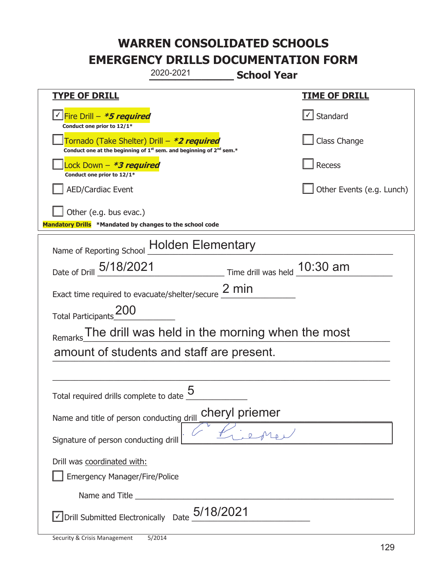|                                                                                    | 2020-2021                                                                                                   | <b>School Year</b> |                           |
|------------------------------------------------------------------------------------|-------------------------------------------------------------------------------------------------------------|--------------------|---------------------------|
| <u>TYPE OF DRILL</u>                                                               |                                                                                                             |                    | <u>TIME OF DRILL</u>      |
| <u>√ Fire Drill – *5 required</u><br>Conduct one prior to 12/1*                    |                                                                                                             |                    | √ Standard                |
| Tornado (Take Shelter) Drill – *2 required                                         | Conduct one at the beginning of 1 <sup>st</sup> sem. and beginning of 2 <sup>nd</sup> sem.*                 |                    | Class Change              |
| Lock Down – <b>*<i>3 required</i></b><br>Conduct one prior to 12/1*                |                                                                                                             |                    | Recess                    |
| <b>AED/Cardiac Event</b>                                                           |                                                                                                             |                    | Other Events (e.g. Lunch) |
| Other (e.g. bus evac.)<br>Mandatory Drills *Mandated by changes to the school code |                                                                                                             |                    |                           |
|                                                                                    | Name of Reporting School Holden Elementary                                                                  |                    |                           |
| Date of Drill 5/18/2021                                                            | $\frac{10:30 \text{ am}}{10:30 \text{ am}}$ Time drill was held $\frac{10:30 \text{ am}}{10:30 \text{ am}}$ |                    |                           |
|                                                                                    | Exact time required to evacuate/shelter/secure $\frac{2 \text{ min}}{2}$                                    |                    |                           |
| 200<br><b>Total Participants</b>                                                   |                                                                                                             |                    |                           |
| Remarks                                                                            | The drill was held in the morning when the most $\overline{\phantom{a}}$                                    |                    |                           |
|                                                                                    | amount of students and staff are present.                                                                   |                    |                           |
|                                                                                    |                                                                                                             |                    |                           |
| Total required drills complete to date _                                           | 5                                                                                                           |                    |                           |
| Name and title of person conducting drill                                          | cheryl priemer                                                                                              |                    |                           |
| Signature of person conducting drill                                               |                                                                                                             |                    |                           |
| Drill was coordinated with:<br><b>Emergency Manager/Fire/Police</b>                |                                                                                                             |                    |                           |
|                                                                                    |                                                                                                             |                    |                           |
|                                                                                    | $\vee$ Drill Submitted Electronically Date $_+$ $5/18/2021$                                                 |                    |                           |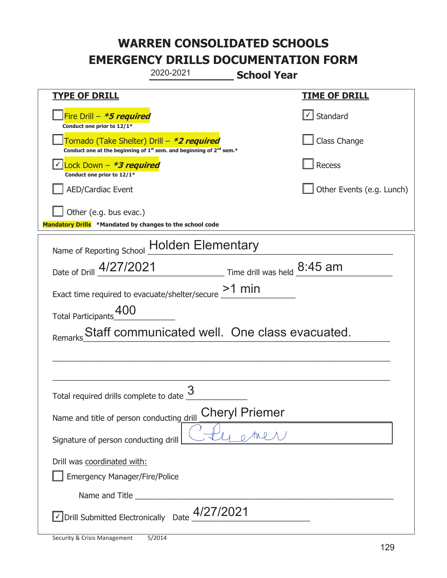| 2020-2021<br><b>School Year</b>                                                                                                           |                           |  |  |
|-------------------------------------------------------------------------------------------------------------------------------------------|---------------------------|--|--|
| <b>TYPE OF DRILL</b>                                                                                                                      | <u>TIME OF DRILL</u>      |  |  |
| Fire Drill - <b>*5 required</b><br>Conduct one prior to 12/1*                                                                             | $\cup$ Standard           |  |  |
| Tornado (Take Shelter) Drill - *2 required<br>Conduct one at the beginning of 1 <sup>st</sup> sem. and beginning of 2 <sup>nd</sup> sem.* | Class Change              |  |  |
| Lock Down - *3 required<br>Conduct one prior to 12/1*                                                                                     | Recess                    |  |  |
| <b>AED/Cardiac Event</b>                                                                                                                  | Other Events (e.g. Lunch) |  |  |
| Other (e.g. bus evac.)<br>Mandatory Drills *Mandated by changes to the school code                                                        |                           |  |  |
| Name of Reporting School Holden Elementary                                                                                                |                           |  |  |
| Date of Drill 4/27/2021<br>$\frac{1}{2}$ Time drill was held $\frac{8:45 \text{ am}}{4}$                                                  |                           |  |  |
| Exact time required to evacuate/shelter/secure $\geq$ 1 min                                                                               |                           |  |  |
| Total Participants <sup>400</sup>                                                                                                         |                           |  |  |
| Staff communicated well. One class evacuated.<br>Remarks                                                                                  |                           |  |  |
|                                                                                                                                           |                           |  |  |
|                                                                                                                                           |                           |  |  |
| Total required drills complete to date $\frac{3}{5}$                                                                                      |                           |  |  |
| <b>Cheryl Priemer</b><br>Name and title of person conducting drill                                                                        |                           |  |  |
| Signature of person conducting drill                                                                                                      |                           |  |  |
| Drill was coordinated with:                                                                                                               |                           |  |  |
| Emergency Manager/Fire/Police                                                                                                             |                           |  |  |
|                                                                                                                                           |                           |  |  |
| $\sqrt{2}$ Drill Submitted Electronically Date $\frac{4/27/2021}{2}$                                                                      |                           |  |  |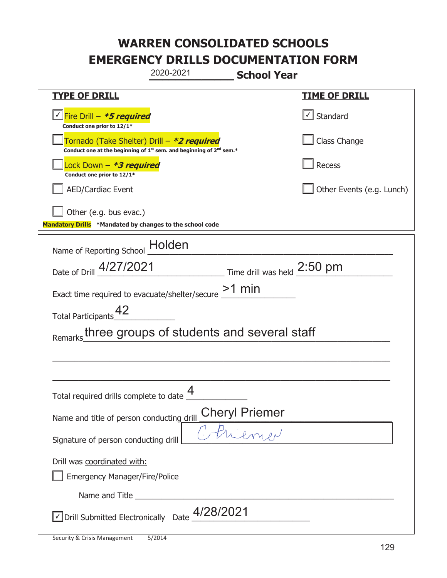|                                                                                    | 2020-2021                                                                                                                                 | <b>School Year</b>          |                           |
|------------------------------------------------------------------------------------|-------------------------------------------------------------------------------------------------------------------------------------------|-----------------------------|---------------------------|
| <b>TYPE OF DRILL</b>                                                               |                                                                                                                                           |                             | <b>TIME OF DRILL</b>      |
| <u>√ Fire Drill – *5 required</u><br>Conduct one prior to 12/1*                    |                                                                                                                                           |                             | √ Standard                |
|                                                                                    | Tornado (Take Shelter) Drill – *2 required<br>Conduct one at the beginning of 1 <sup>st</sup> sem. and beginning of 2 <sup>nd</sup> sem.* |                             | Class Change              |
| Lock Down - *3 required<br>Conduct one prior to 12/1*                              |                                                                                                                                           |                             | Recess                    |
| <b>AED/Cardiac Event</b>                                                           |                                                                                                                                           |                             | Other Events (e.g. Lunch) |
| Other (e.g. bus evac.)<br>Mandatory Drills *Mandated by changes to the school code |                                                                                                                                           |                             |                           |
| Name of Reporting School                                                           | Holden                                                                                                                                    |                             |                           |
| Date of Drill 4/27/2021                                                            |                                                                                                                                           | Time drill was held 2:50 pm |                           |
| Exact time required to evacuate/shelter/secure                                     |                                                                                                                                           | $>1$ min                    |                           |
| <b>Total Participants</b>                                                          |                                                                                                                                           |                             |                           |
| Remarks                                                                            | three groups of students and several staff                                                                                                |                             |                           |
|                                                                                    |                                                                                                                                           |                             |                           |
|                                                                                    |                                                                                                                                           |                             |                           |
| Total required drills complete to date $\frac{4}{1}$                               |                                                                                                                                           |                             |                           |
| Name and title of person conducting drill                                          |                                                                                                                                           | Cheryl Priemer              |                           |
| Signature of person conducting drill                                               |                                                                                                                                           |                             |                           |
| Drill was coordinated with:<br><b>Emergency Manager/Fire/Police</b>                |                                                                                                                                           |                             |                           |
|                                                                                    |                                                                                                                                           |                             |                           |
| √ Drill Submitted Electronically Date                                              | 4/28/2021                                                                                                                                 |                             |                           |

T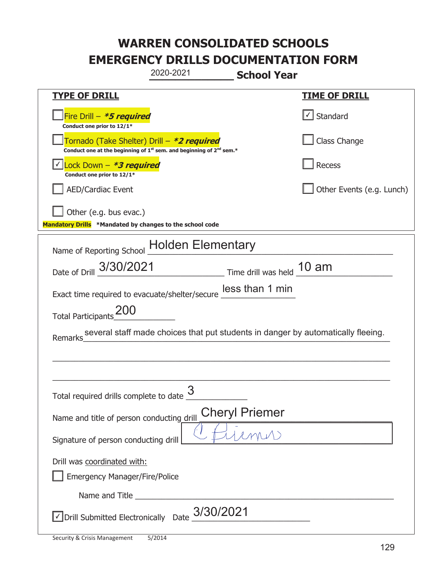| 2020-2021<br><b>School Year</b>                                                                                                           |                           |  |  |
|-------------------------------------------------------------------------------------------------------------------------------------------|---------------------------|--|--|
| <b>TYPE OF DRILL</b>                                                                                                                      | <u>TIME OF DRILL</u>      |  |  |
| Fire Drill - <b>*5 required</b><br>Conduct one prior to 12/1*                                                                             | $\cup$ Standard           |  |  |
| Tornado (Take Shelter) Drill - *2 required<br>Conduct one at the beginning of 1 <sup>st</sup> sem. and beginning of 2 <sup>nd</sup> sem.* | Class Change              |  |  |
| Lock Down - *3 required<br>Conduct one prior to 12/1*                                                                                     | Recess                    |  |  |
| <b>AED/Cardiac Event</b>                                                                                                                  | Other Events (e.g. Lunch) |  |  |
| Other (e.g. bus evac.)<br>Mandatory Drills *Mandated by changes to the school code                                                        |                           |  |  |
| Name of Reporting School Holden Elementary                                                                                                |                           |  |  |
| Date of Drill 3/30/2021 Time drill was held 10 am                                                                                         |                           |  |  |
| Exact time required to evacuate/shelter/secure less than 1 min                                                                            |                           |  |  |
| Total Participants 200                                                                                                                    |                           |  |  |
| several staff made choices that put students in danger by automatically fleeing.<br>Remarks                                               |                           |  |  |
|                                                                                                                                           |                           |  |  |
|                                                                                                                                           |                           |  |  |
| Total required drills complete to date $\frac{3}{5}$                                                                                      |                           |  |  |
| <b>Cheryl Priemer</b><br>Name and title of person conducting drill                                                                        |                           |  |  |
| Signature of person conducting drill                                                                                                      |                           |  |  |
| Drill was coordinated with:                                                                                                               |                           |  |  |
| Emergency Manager/Fire/Police                                                                                                             |                           |  |  |
|                                                                                                                                           |                           |  |  |
| $\vee$ Drill Submitted Electronically Date $3/30/2021$                                                                                    |                           |  |  |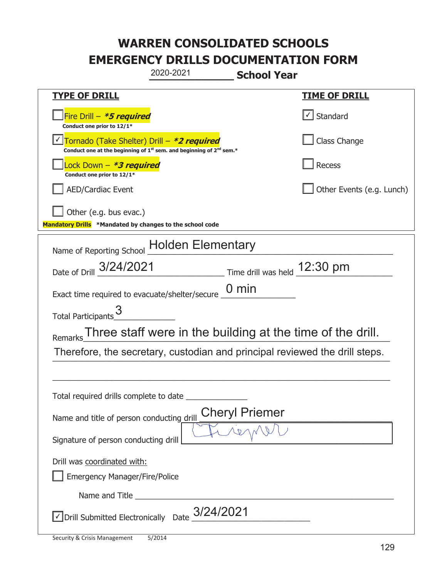|                                                                                    | 2020-2021                                                                                   | <b>School Year</b>    |                           |
|------------------------------------------------------------------------------------|---------------------------------------------------------------------------------------------|-----------------------|---------------------------|
| <b>TYPE OF DRILL</b>                                                               |                                                                                             |                       | <b>TIME OF DRILL</b>      |
| Fire Drill - *5 required<br>Conduct one prior to 12/1*                             |                                                                                             |                       | √ Standard                |
| Tornado (Take Shelter) Drill – *2 required                                         | Conduct one at the beginning of 1 <sup>st</sup> sem. and beginning of 2 <sup>nd</sup> sem.* |                       | Class Change              |
| Lock Down - <b>*3 required</b><br>Conduct one prior to 12/1*                       |                                                                                             |                       | Recess                    |
| <b>AED/Cardiac Event</b>                                                           |                                                                                             |                       | Other Events (e.g. Lunch) |
| Other (e.g. bus evac.)<br>Mandatory Drills *Mandated by changes to the school code |                                                                                             |                       |                           |
| Name of Reporting School Holden Elementary                                         |                                                                                             |                       |                           |
| Date of Drill 3/24/2021                                                            | $\frac{12:30 \text{ pm}}{2}$ Time drill was held $\frac{12:30 \text{ pm}}{2}$               |                       |                           |
| Exact time required to evacuate/shelter/secure _                                   |                                                                                             | $0 \text{ min}$       |                           |
| <b>Total Participants</b>                                                          |                                                                                             |                       |                           |
| Remarks                                                                            | Three staff were in the building at the time of the drill.                                  |                       |                           |
|                                                                                    | Therefore, the secretary, custodian and principal reviewed the drill steps.                 |                       |                           |
|                                                                                    |                                                                                             |                       |                           |
| Total required drills complete to date                                             |                                                                                             |                       |                           |
| Name and title of person conducting drill                                          |                                                                                             | <b>Cheryl Priemer</b> |                           |
| Signature of person conducting drill                                               |                                                                                             |                       |                           |
| Drill was coordinated with:<br><b>Emergency Manager/Fire/Police</b>                |                                                                                             |                       |                           |
| Name and Title _________                                                           |                                                                                             |                       |                           |
| √ Drill Submitted Electronically                                                   | 3/24/2021<br>Date                                                                           |                       |                           |

T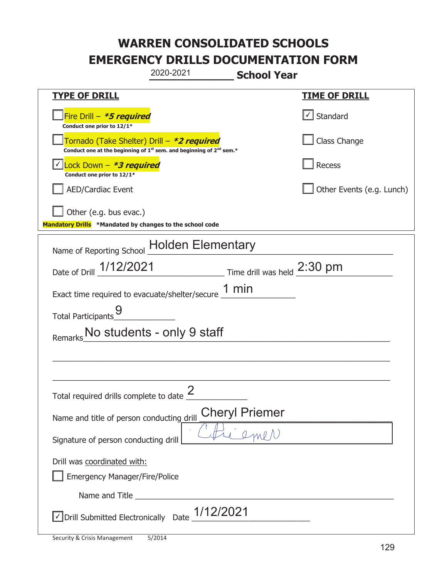| 2020-2021                                                                                                                                 | <b>School Year</b>                                          |
|-------------------------------------------------------------------------------------------------------------------------------------------|-------------------------------------------------------------|
| <b>TYPE OF DRILL</b>                                                                                                                      | <u>TIME OF DRILL</u>                                        |
| Fire Drill $-$ <i>*5 required</i><br>Conduct one prior to 12/1*                                                                           | √ Standard                                                  |
| Tornado (Take Shelter) Drill – *2 required<br>Conduct one at the beginning of 1 <sup>st</sup> sem. and beginning of 2 <sup>nd</sup> sem.* | Class Change                                                |
| Lock Down - *3 required<br>Conduct one prior to 12/1*                                                                                     | Recess                                                      |
| <b>AED/Cardiac Event</b>                                                                                                                  | Other Events (e.g. Lunch)                                   |
| Other (e.g. bus evac.)                                                                                                                    |                                                             |
| Mandatory Drills *Mandated by changes to the school code                                                                                  |                                                             |
| Name of Reporting School Holden Elementary                                                                                                |                                                             |
| Date of Drill 1/12/2021                                                                                                                   | $\frac{1}{2.30}$ Time drill was held $\frac{2.30}{2.30}$ pm |
| Exact time required to evacuate/shelter/secure $1 \text{ min}$                                                                            |                                                             |
| <b>Total Participants</b>                                                                                                                 |                                                             |
| No students - only 9 staff                                                                                                                |                                                             |
|                                                                                                                                           |                                                             |
|                                                                                                                                           |                                                             |
| Total required drills complete to date $\frac{2}{3}$                                                                                      |                                                             |
| <b>Cheryl Priemer</b><br>Name and title of person conducting drill                                                                        |                                                             |
| Signature of person conducting drill                                                                                                      |                                                             |
| Drill was coordinated with:<br><b>Emergency Manager/Fire/Police</b>                                                                       |                                                             |
|                                                                                                                                           |                                                             |
| 1/12/2021<br>√ Drill Submitted Electronically Date                                                                                        |                                                             |

t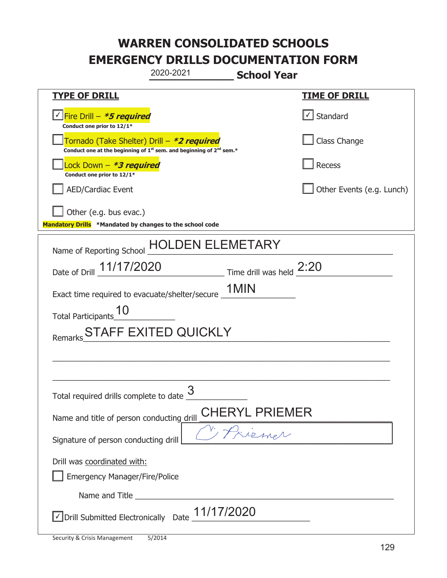|                                                                                    | 2020-2021                                                                                   | <b>School Year</b>                   |                           |
|------------------------------------------------------------------------------------|---------------------------------------------------------------------------------------------|--------------------------------------|---------------------------|
| <b>TYPE OF DRILL</b>                                                               |                                                                                             |                                      | <u>TIME OF DRILL</u>      |
| <u>√ Fire Drill – <b>*5 required</b></u><br>Conduct one prior to 12/1*             |                                                                                             |                                      | Standard                  |
| Tornado (Take Shelter) Drill – *2 required                                         | Conduct one at the beginning of 1 <sup>st</sup> sem. and beginning of 2 <sup>nd</sup> sem.* |                                      | Class Change              |
| Lock Down - *3 required<br>Conduct one prior to 12/1*                              |                                                                                             |                                      | Recess                    |
| <b>AED/Cardiac Event</b>                                                           |                                                                                             |                                      | Other Events (e.g. Lunch) |
| Other (e.g. bus evac.)<br>Mandatory Drills *Mandated by changes to the school code |                                                                                             |                                      |                           |
| Name of Reporting School                                                           | DEN ELEMETARY<br>HU                                                                         |                                      |                           |
| Date of Drill 11/17/2020                                                           |                                                                                             | $\_$ Time drill was held $\_^{2:20}$ |                           |
| Exact time required to evacuate/shelter/secure _                                   |                                                                                             | 1MIN                                 |                           |
| <b>Total Participants</b>                                                          |                                                                                             |                                      |                           |
| Remarks                                                                            | <b>STAFF EXITED QUICKLY</b>                                                                 |                                      |                           |
|                                                                                    |                                                                                             |                                      |                           |
|                                                                                    |                                                                                             |                                      |                           |
| Total required drills complete to date $\frac{6}{5}$                               | 3                                                                                           |                                      |                           |
| Name and title of person conducting drill                                          |                                                                                             | CHERYL PRIEMER                       |                           |
| Signature of person conducting drill                                               |                                                                                             |                                      |                           |
| Drill was coordinated with:<br><b>Emergency Manager/Fire/Police</b>                |                                                                                             |                                      |                           |
|                                                                                    |                                                                                             |                                      |                           |
| √ Drill Submitted Electronically Date                                              | 11/17/2020                                                                                  |                                      |                           |

t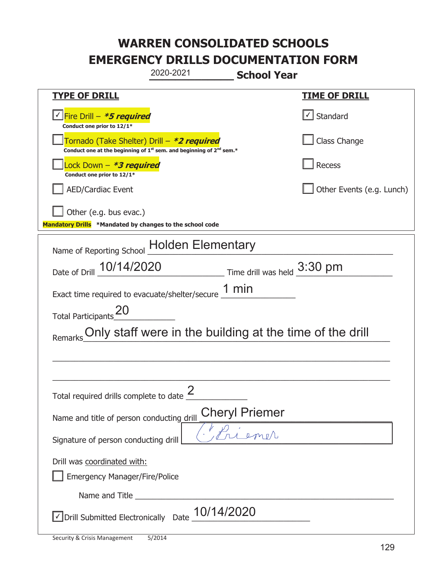|                                                                                    | 2020-2021                                                                                   | <b>School Year</b>                 |                           |
|------------------------------------------------------------------------------------|---------------------------------------------------------------------------------------------|------------------------------------|---------------------------|
| <b>TYPE OF DRILL</b>                                                               |                                                                                             |                                    | <b>TIME OF DRILL</b>      |
| <u>√ Fire Drill – *5 required</u><br>Conduct one prior to 12/1*                    |                                                                                             |                                    | √ Standard                |
| Tornado (Take Shelter) Drill – *2 required                                         | Conduct one at the beginning of 1 <sup>st</sup> sem. and beginning of 2 <sup>nd</sup> sem.* |                                    | Class Change              |
| Lock Down - *3 required<br>Conduct one prior to 12/1*                              |                                                                                             |                                    | Recess                    |
| <b>AED/Cardiac Event</b>                                                           |                                                                                             |                                    | Other Events (e.g. Lunch) |
| Other (e.g. bus evac.)<br>Mandatory Drills *Mandated by changes to the school code |                                                                                             |                                    |                           |
| Name of Reporting School - Holden Elementary                                       |                                                                                             |                                    |                           |
| Date of Drill 10/14/2020                                                           |                                                                                             | $\_$ Time drill was held $3:30$ pm |                           |
| Exact time required to evacuate/shelter/secure $\underline{1}$ min                 |                                                                                             |                                    |                           |
| <b>Total Participants</b>                                                          |                                                                                             |                                    |                           |
|                                                                                    | Only staff were in the building at the time of the drill                                    |                                    |                           |
|                                                                                    |                                                                                             |                                    |                           |
|                                                                                    |                                                                                             |                                    |                           |
| Total required drills complete to date $\frac{2}{3}$                               |                                                                                             |                                    |                           |
| Name and title of person conducting drill                                          |                                                                                             | <b>Cheryl Priemer</b>              |                           |
| Signature of person conducting drill                                               |                                                                                             |                                    |                           |
| Drill was coordinated with:<br><b>Emergency Manager/Fire/Police</b>                |                                                                                             |                                    |                           |
|                                                                                    |                                                                                             |                                    |                           |
| √ Drill Submitted Electronically Date                                              | 10/14/2020                                                                                  |                                    |                           |

t